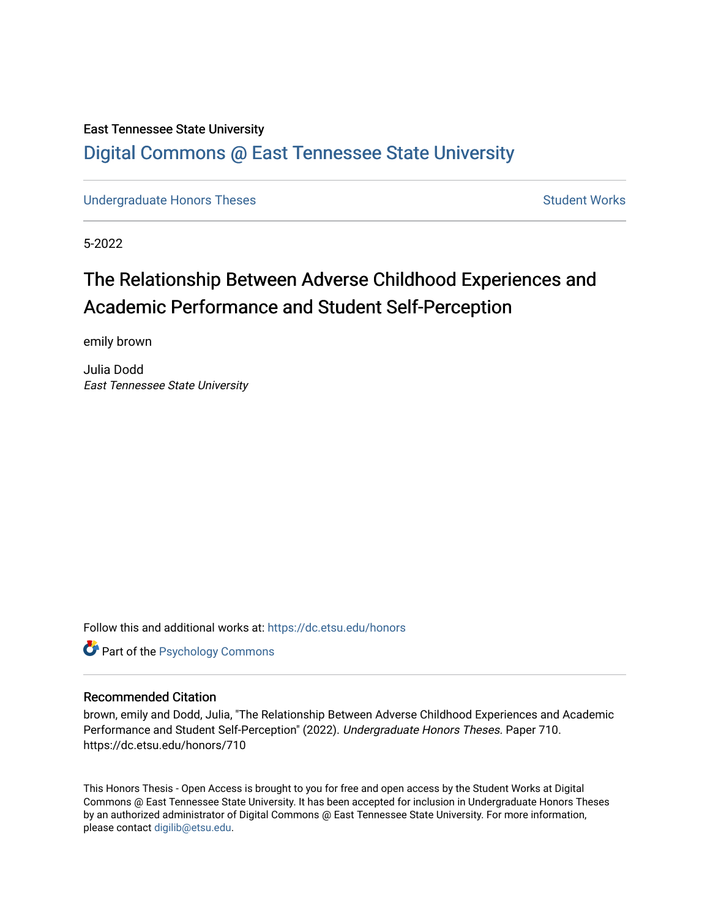## East Tennessee State University [Digital Commons @ East Tennessee State University](https://dc.etsu.edu/)

[Undergraduate Honors Theses](https://dc.etsu.edu/honors) Student Works

5-2022

# The Relationship Between Adverse Childhood Experiences and Academic Performance and Student Self-Perception

emily brown

Julia Dodd East Tennessee State University

Follow this and additional works at: [https://dc.etsu.edu/honors](https://dc.etsu.edu/honors?utm_source=dc.etsu.edu%2Fhonors%2F710&utm_medium=PDF&utm_campaign=PDFCoverPages)

**Part of the Psychology Commons** 

#### Recommended Citation

brown, emily and Dodd, Julia, "The Relationship Between Adverse Childhood Experiences and Academic Performance and Student Self-Perception" (2022). Undergraduate Honors Theses. Paper 710. https://dc.etsu.edu/honors/710

This Honors Thesis - Open Access is brought to you for free and open access by the Student Works at Digital Commons @ East Tennessee State University. It has been accepted for inclusion in Undergraduate Honors Theses by an authorized administrator of Digital Commons @ East Tennessee State University. For more information, please contact [digilib@etsu.edu.](mailto:digilib@etsu.edu)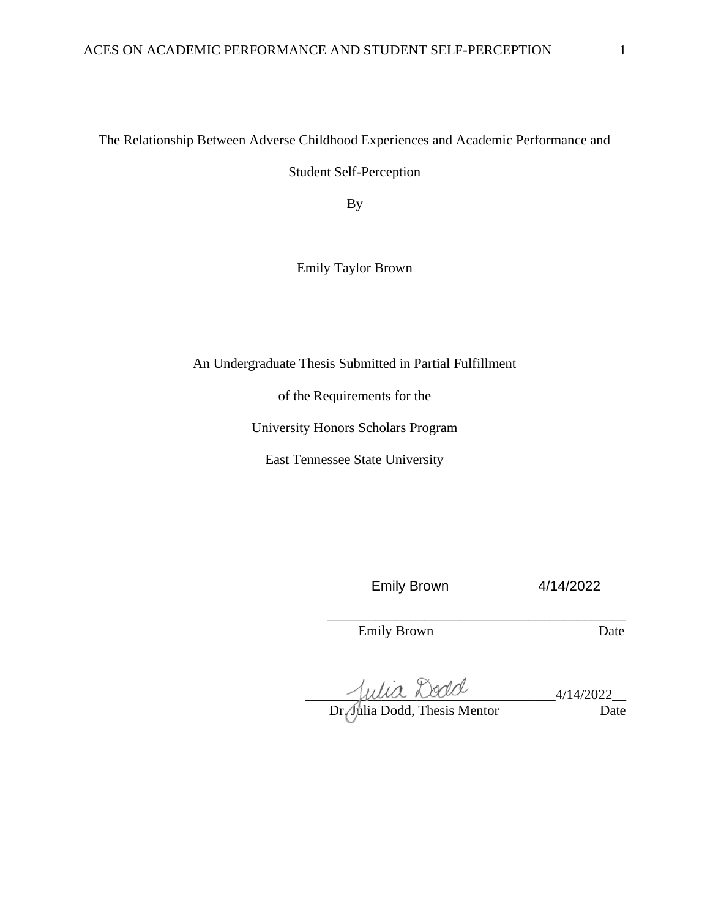The Relationship Between Adverse Childhood Experiences and Academic Performance and

Student Self-Perception

By

Emily Taylor Brown

An Undergraduate Thesis Submitted in Partial Fulfillment

of the Requirements for the

University Honors Scholars Program

East Tennessee State University

Emily Brown 4/14/2022

\_\_\_\_\_\_\_\_\_\_\_\_\_\_\_\_\_\_\_\_\_\_\_\_\_\_\_\_\_\_\_\_\_\_\_\_\_\_\_\_\_\_\_

Emily Brown Date

 $\sim$  fulla Locio

Dr. Julia Dodd, Thesis Mentor Date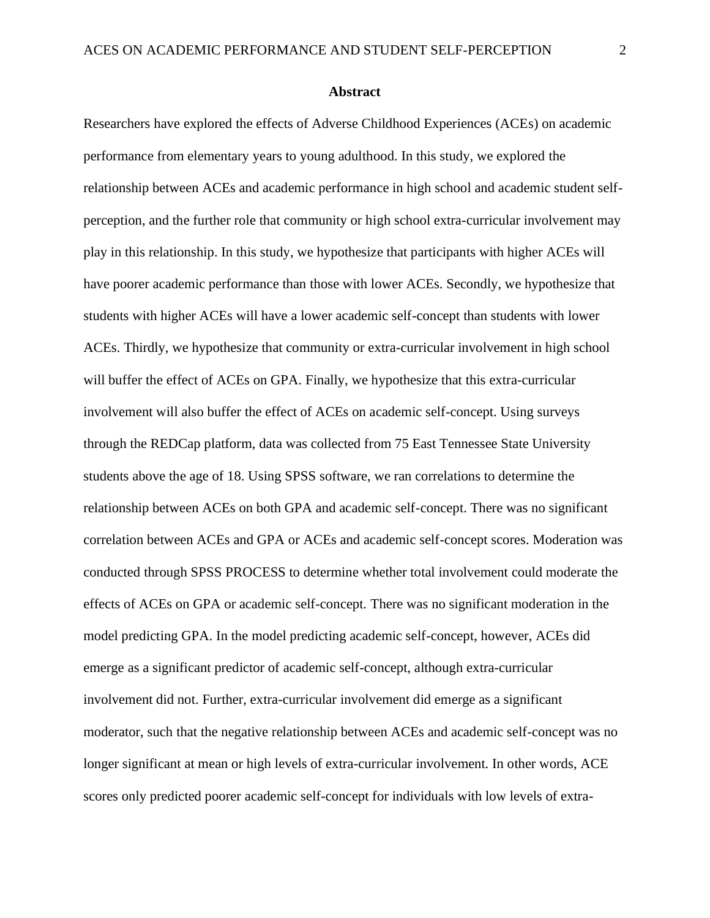#### **Abstract**

Researchers have explored the effects of Adverse Childhood Experiences (ACEs) on academic performance from elementary years to young adulthood. In this study, we explored the relationship between ACEs and academic performance in high school and academic student selfperception, and the further role that community or high school extra-curricular involvement may play in this relationship. In this study, we hypothesize that participants with higher ACEs will have poorer academic performance than those with lower ACEs. Secondly, we hypothesize that students with higher ACEs will have a lower academic self-concept than students with lower ACEs. Thirdly, we hypothesize that community or extra-curricular involvement in high school will buffer the effect of ACEs on GPA. Finally, we hypothesize that this extra-curricular involvement will also buffer the effect of ACEs on academic self-concept. Using surveys through the REDCap platform, data was collected from 75 East Tennessee State University students above the age of 18. Using SPSS software, we ran correlations to determine the relationship between ACEs on both GPA and academic self-concept. There was no significant correlation between ACEs and GPA or ACEs and academic self-concept scores. Moderation was conducted through SPSS PROCESS to determine whether total involvement could moderate the effects of ACEs on GPA or academic self-concept. There was no significant moderation in the model predicting GPA. In the model predicting academic self-concept, however, ACEs did emerge as a significant predictor of academic self-concept, although extra-curricular involvement did not. Further, extra-curricular involvement did emerge as a significant moderator, such that the negative relationship between ACEs and academic self-concept was no longer significant at mean or high levels of extra-curricular involvement. In other words, ACE scores only predicted poorer academic self-concept for individuals with low levels of extra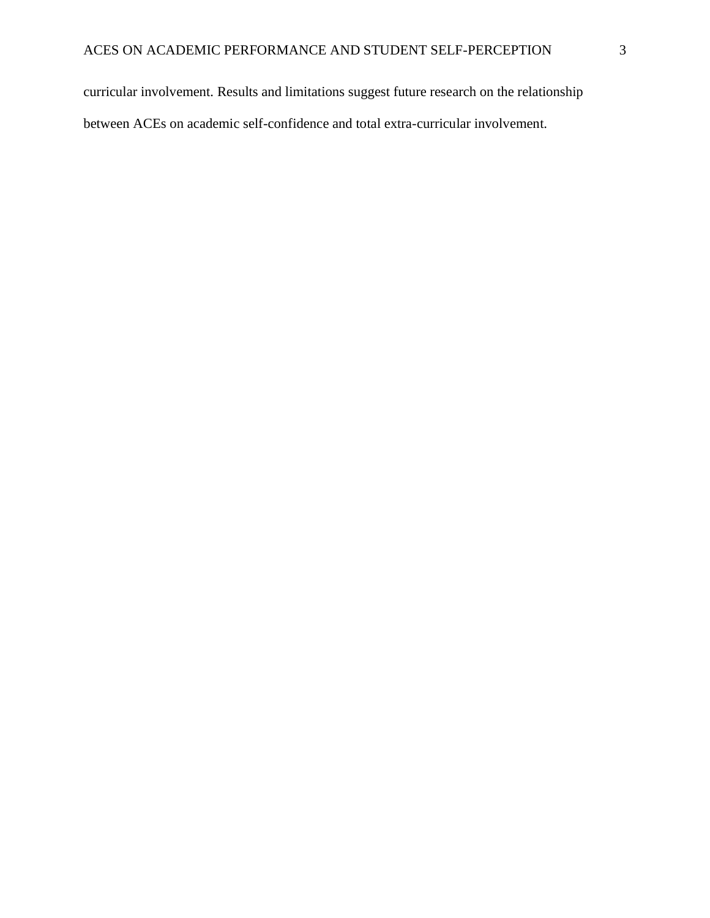curricular involvement. Results and limitations suggest future research on the relationship between ACEs on academic self-confidence and total extra-curricular involvement.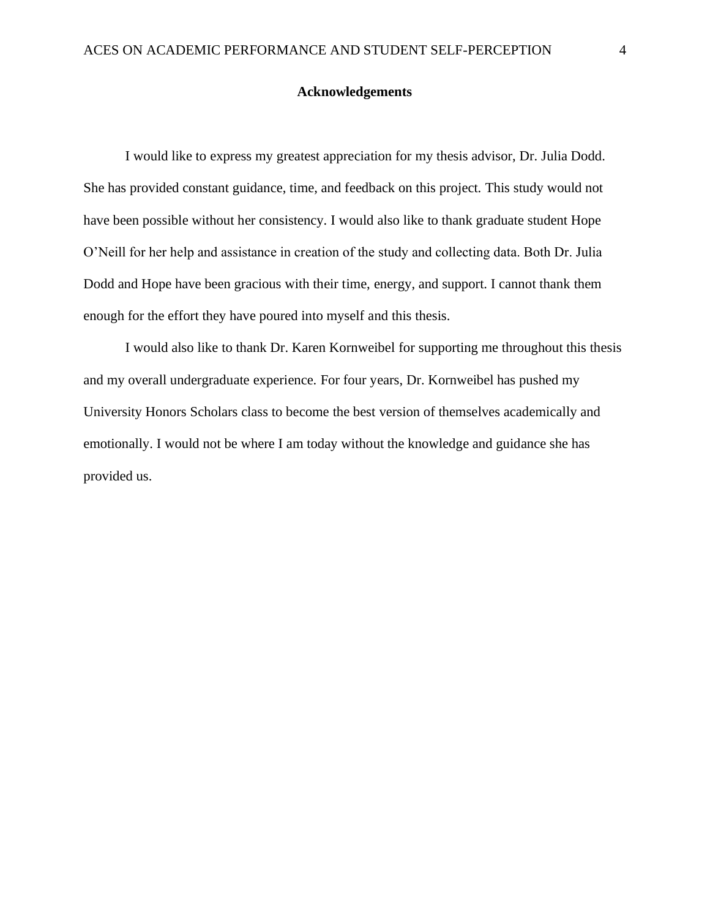#### **Acknowledgements**

I would like to express my greatest appreciation for my thesis advisor, Dr. Julia Dodd. She has provided constant guidance, time, and feedback on this project. This study would not have been possible without her consistency. I would also like to thank graduate student Hope O'Neill for her help and assistance in creation of the study and collecting data. Both Dr. Julia Dodd and Hope have been gracious with their time, energy, and support. I cannot thank them enough for the effort they have poured into myself and this thesis.

I would also like to thank Dr. Karen Kornweibel for supporting me throughout this thesis and my overall undergraduate experience. For four years, Dr. Kornweibel has pushed my University Honors Scholars class to become the best version of themselves academically and emotionally. I would not be where I am today without the knowledge and guidance she has provided us.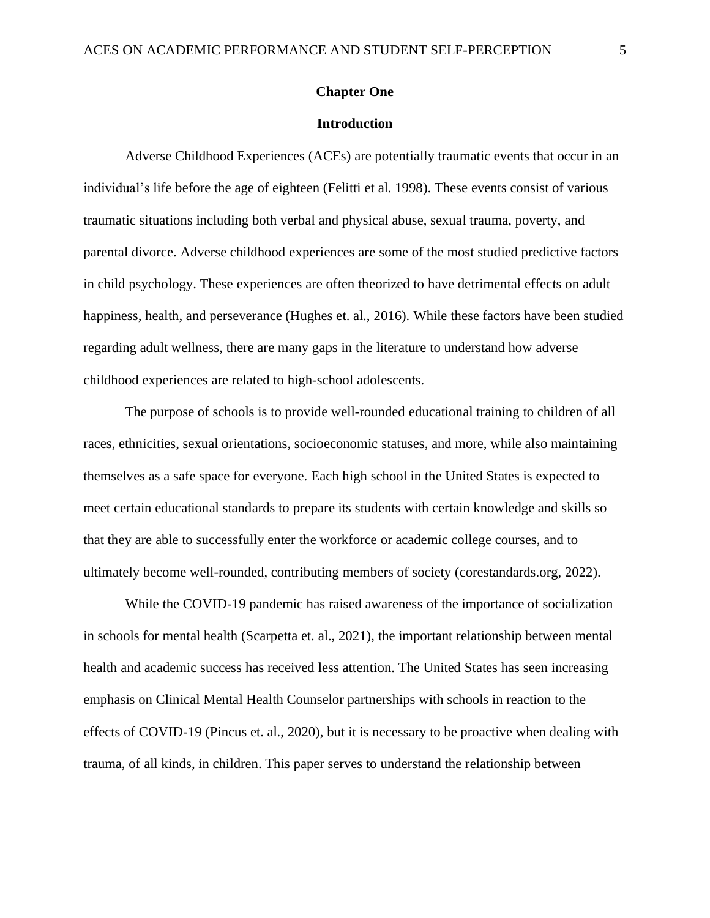#### **Chapter One**

#### **Introduction**

Adverse Childhood Experiences (ACEs) are potentially traumatic events that occur in an individual's life before the age of eighteen (Felitti et al. 1998). These events consist of various traumatic situations including both verbal and physical abuse, sexual trauma, poverty, and parental divorce. Adverse childhood experiences are some of the most studied predictive factors in child psychology. These experiences are often theorized to have detrimental effects on adult happiness, health, and perseverance (Hughes et. al., 2016). While these factors have been studied regarding adult wellness, there are many gaps in the literature to understand how adverse childhood experiences are related to high-school adolescents.

The purpose of schools is to provide well-rounded educational training to children of all races, ethnicities, sexual orientations, socioeconomic statuses, and more, while also maintaining themselves as a safe space for everyone. Each high school in the United States is expected to meet certain educational standards to prepare its students with certain knowledge and skills so that they are able to successfully enter the workforce or academic college courses, and to ultimately become well-rounded, contributing members of society (corestandards.org, 2022).

While the COVID-19 pandemic has raised awareness of the importance of socialization in schools for mental health (Scarpetta et. al., 2021), the important relationship between mental health and academic success has received less attention. The United States has seen increasing emphasis on Clinical Mental Health Counselor partnerships with schools in reaction to the effects of COVID-19 (Pincus et. al., 2020), but it is necessary to be proactive when dealing with trauma, of all kinds, in children. This paper serves to understand the relationship between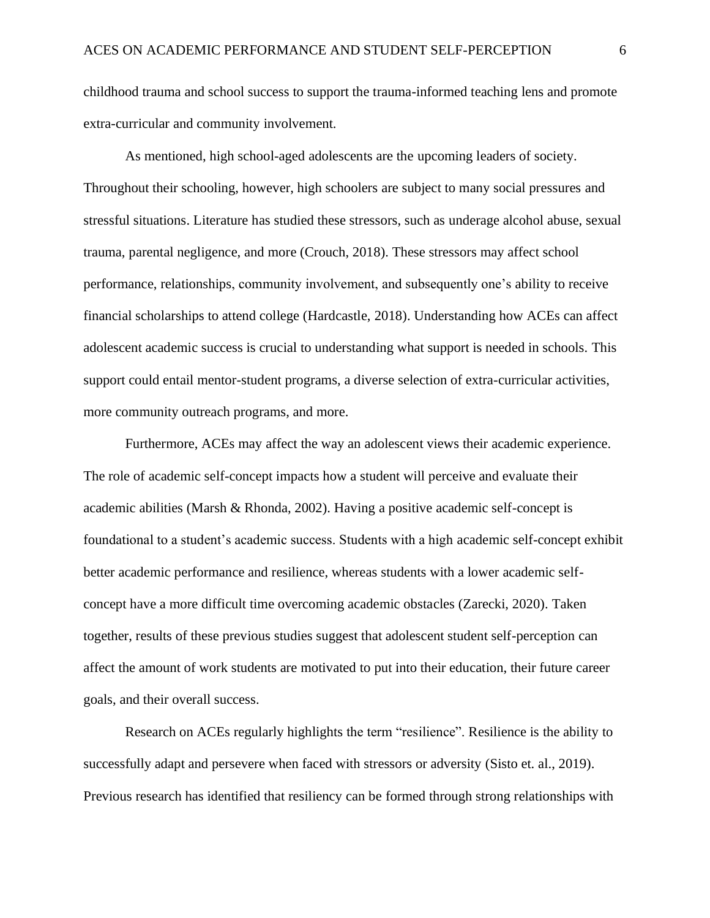childhood trauma and school success to support the trauma-informed teaching lens and promote extra-curricular and community involvement.

As mentioned, high school-aged adolescents are the upcoming leaders of society. Throughout their schooling, however, high schoolers are subject to many social pressures and stressful situations. Literature has studied these stressors, such as underage alcohol abuse, sexual trauma, parental negligence, and more (Crouch, 2018). These stressors may affect school performance, relationships, community involvement, and subsequently one's ability to receive financial scholarships to attend college (Hardcastle, 2018). Understanding how ACEs can affect adolescent academic success is crucial to understanding what support is needed in schools. This support could entail mentor-student programs, a diverse selection of extra-curricular activities, more community outreach programs, and more.

Furthermore, ACEs may affect the way an adolescent views their academic experience. The role of academic self-concept impacts how a student will perceive and evaluate their academic abilities (Marsh & Rhonda, 2002). Having a positive academic self-concept is foundational to a student's academic success. Students with a high academic self-concept exhibit better academic performance and resilience, whereas students with a lower academic selfconcept have a more difficult time overcoming academic obstacles (Zarecki, 2020). Taken together, results of these previous studies suggest that adolescent student self-perception can affect the amount of work students are motivated to put into their education, their future career goals, and their overall success.

Research on ACEs regularly highlights the term "resilience". Resilience is the ability to successfully adapt and persevere when faced with stressors or adversity (Sisto et. al., 2019). Previous research has identified that resiliency can be formed through strong relationships with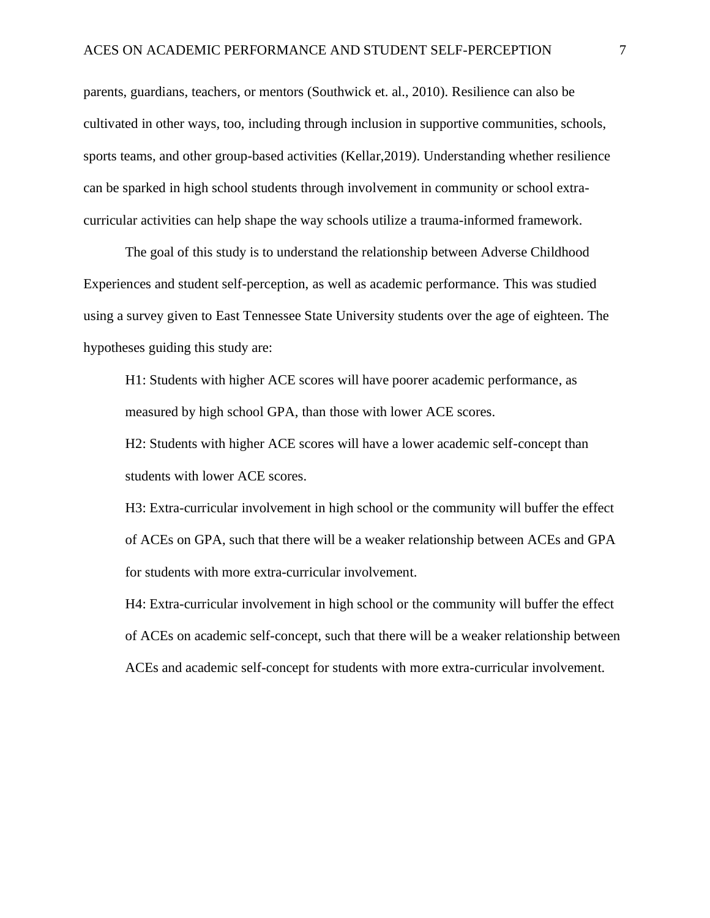parents, guardians, teachers, or mentors (Southwick et. al., 2010). Resilience can also be cultivated in other ways, too, including through inclusion in supportive communities, schools, sports teams, and other group-based activities (Kellar,2019). Understanding whether resilience can be sparked in high school students through involvement in community or school extracurricular activities can help shape the way schools utilize a trauma-informed framework.

The goal of this study is to understand the relationship between Adverse Childhood Experiences and student self-perception, as well as academic performance. This was studied using a survey given to East Tennessee State University students over the age of eighteen. The hypotheses guiding this study are:

H1: Students with higher ACE scores will have poorer academic performance, as measured by high school GPA, than those with lower ACE scores.

H2: Students with higher ACE scores will have a lower academic self-concept than students with lower ACE scores.

H3: Extra-curricular involvement in high school or the community will buffer the effect of ACEs on GPA, such that there will be a weaker relationship between ACEs and GPA for students with more extra-curricular involvement.

H4: Extra-curricular involvement in high school or the community will buffer the effect of ACEs on academic self-concept, such that there will be a weaker relationship between ACEs and academic self-concept for students with more extra-curricular involvement.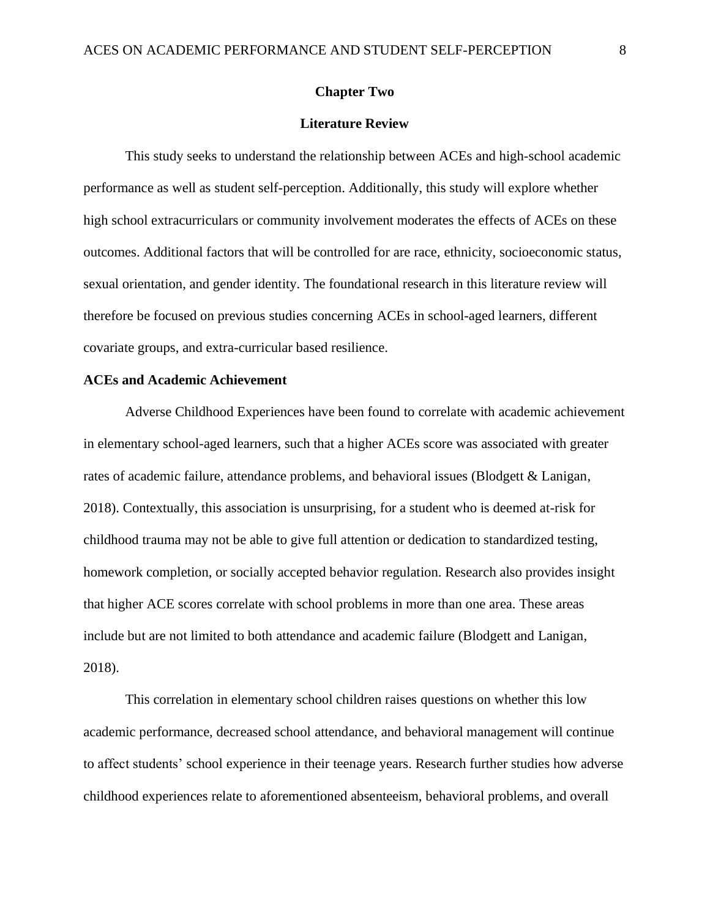#### **Chapter Two**

#### **Literature Review**

This study seeks to understand the relationship between ACEs and high-school academic performance as well as student self-perception. Additionally, this study will explore whether high school extracurriculars or community involvement moderates the effects of ACEs on these outcomes. Additional factors that will be controlled for are race, ethnicity, socioeconomic status, sexual orientation, and gender identity. The foundational research in this literature review will therefore be focused on previous studies concerning ACEs in school-aged learners, different covariate groups, and extra-curricular based resilience.

#### **ACEs and Academic Achievement**

Adverse Childhood Experiences have been found to correlate with academic achievement in elementary school-aged learners, such that a higher ACEs score was associated with greater rates of academic failure, attendance problems, and behavioral issues (Blodgett & Lanigan, 2018). Contextually, this association is unsurprising, for a student who is deemed at-risk for childhood trauma may not be able to give full attention or dedication to standardized testing, homework completion, or socially accepted behavior regulation. Research also provides insight that higher ACE scores correlate with school problems in more than one area. These areas include but are not limited to both attendance and academic failure (Blodgett and Lanigan, 2018).

This correlation in elementary school children raises questions on whether this low academic performance, decreased school attendance, and behavioral management will continue to affect students' school experience in their teenage years. Research further studies how adverse childhood experiences relate to aforementioned absenteeism, behavioral problems, and overall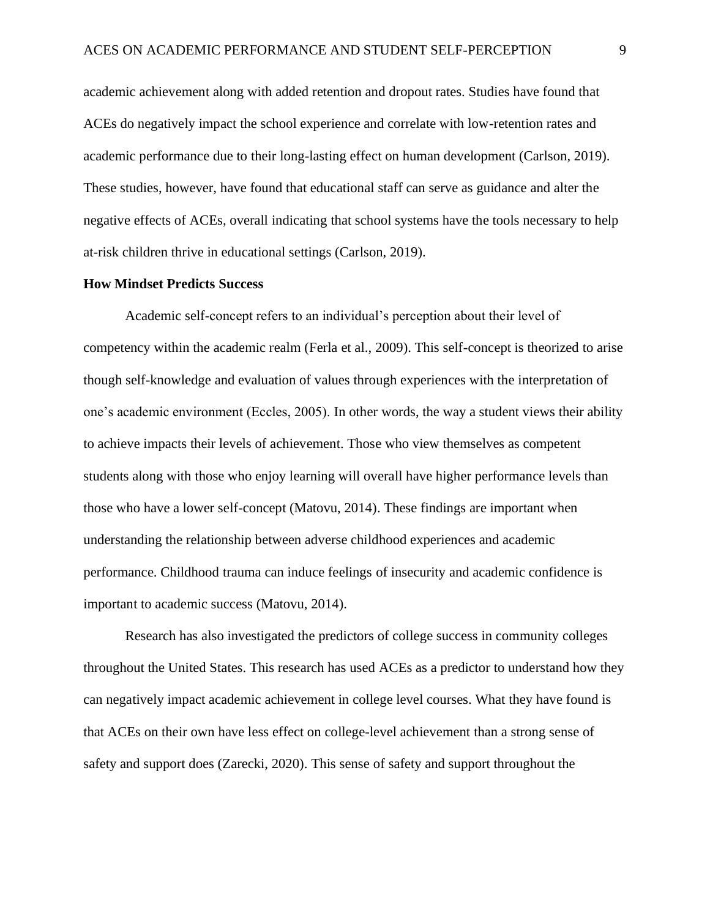academic achievement along with added retention and dropout rates. Studies have found that ACEs do negatively impact the school experience and correlate with low-retention rates and academic performance due to their long-lasting effect on human development (Carlson, 2019). These studies, however, have found that educational staff can serve as guidance and alter the negative effects of ACEs, overall indicating that school systems have the tools necessary to help at-risk children thrive in educational settings (Carlson, 2019).

#### **How Mindset Predicts Success**

Academic self-concept refers to an individual's perception about their level of competency within the academic realm (Ferla et al., 2009). This self-concept is theorized to arise though self-knowledge and evaluation of values through experiences with the interpretation of one's academic environment (Eccles, 2005). In other words, the way a student views their ability to achieve impacts their levels of achievement. Those who view themselves as competent students along with those who enjoy learning will overall have higher performance levels than those who have a lower self-concept (Matovu, 2014). These findings are important when understanding the relationship between adverse childhood experiences and academic performance. Childhood trauma can induce feelings of insecurity and academic confidence is important to academic success (Matovu, 2014).

Research has also investigated the predictors of college success in community colleges throughout the United States. This research has used ACEs as a predictor to understand how they can negatively impact academic achievement in college level courses. What they have found is that ACEs on their own have less effect on college-level achievement than a strong sense of safety and support does (Zarecki, 2020). This sense of safety and support throughout the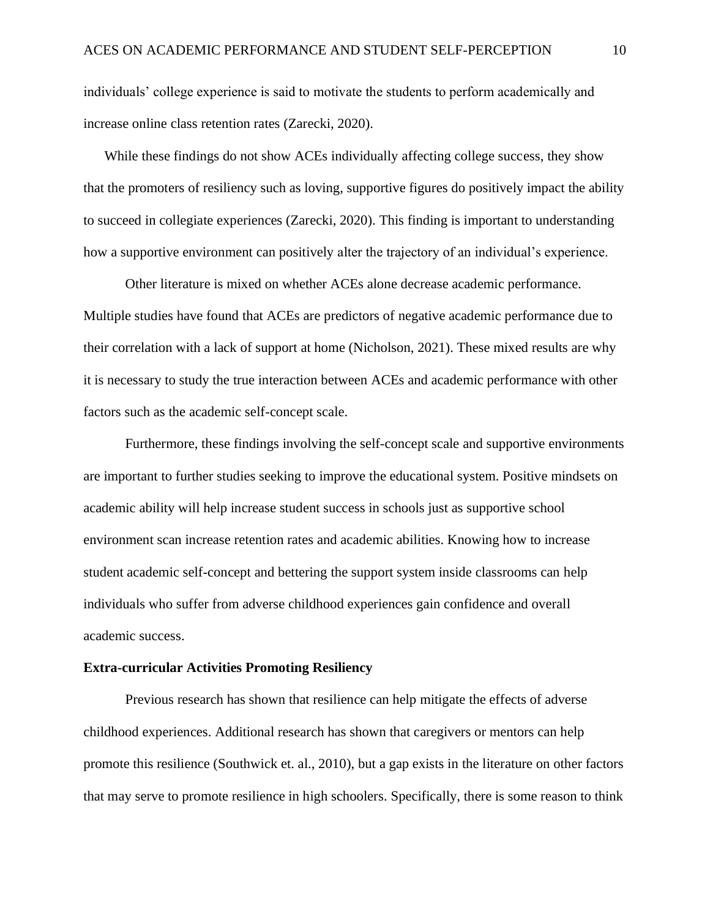individuals' college experience is said to motivate the students to perform academically and increase online class retention rates (Zarecki, 2020).

While these findings do not show ACEs individually affecting college success, they show that the promoters of resiliency such as loving, supportive figures do positively impact the ability to succeed in collegiate experiences (Zarecki, 2020). This finding is important to understanding how a supportive environment can positively alter the trajectory of an individual's experience.

Other literature is mixed on whether ACEs alone decrease academic performance. Multiple studies have found that ACEs are predictors of negative academic performance due to their correlation with a lack of support at home (Nicholson, 2021). These mixed results are why it is necessary to study the true interaction between ACEs and academic performance with other factors such as the academic self-concept scale.

Furthermore, these findings involving the self-concept scale and supportive environments are important to further studies seeking to improve the educational system. Positive mindsets on academic ability will help increase student success in schools just as supportive school environment scan increase retention rates and academic abilities. Knowing how to increase student academic self-concept and bettering the support system inside classrooms can help individuals who suffer from adverse childhood experiences gain confidence and overall academic success.

#### **Extra-curricular Activities Promoting Resiliency**

Previous research has shown that resilience can help mitigate the effects of adverse childhood experiences. Additional research has shown that caregivers or mentors can help promote this resilience (Southwick et. al., 2010), but a gap exists in the literature on other factors that may serve to promote resilience in high schoolers. Specifically, there is some reason to think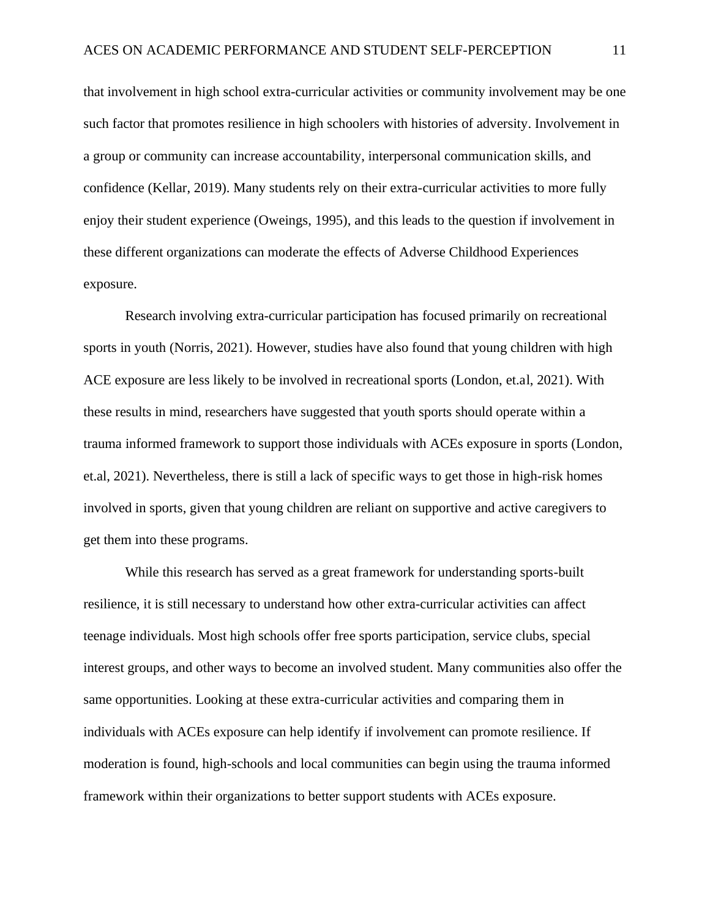that involvement in high school extra-curricular activities or community involvement may be one such factor that promotes resilience in high schoolers with histories of adversity. Involvement in a group or community can increase accountability, interpersonal communication skills, and confidence (Kellar, 2019). Many students rely on their extra-curricular activities to more fully enjoy their student experience (Oweings, 1995), and this leads to the question if involvement in these different organizations can moderate the effects of Adverse Childhood Experiences exposure.

Research involving extra-curricular participation has focused primarily on recreational sports in youth (Norris, 2021). However, studies have also found that young children with high ACE exposure are less likely to be involved in recreational sports (London, et.al, 2021). With these results in mind, researchers have suggested that youth sports should operate within a trauma informed framework to support those individuals with ACEs exposure in sports (London, et.al, 2021). Nevertheless, there is still a lack of specific ways to get those in high-risk homes involved in sports, given that young children are reliant on supportive and active caregivers to get them into these programs.

While this research has served as a great framework for understanding sports-built resilience, it is still necessary to understand how other extra-curricular activities can affect teenage individuals. Most high schools offer free sports participation, service clubs, special interest groups, and other ways to become an involved student. Many communities also offer the same opportunities. Looking at these extra-curricular activities and comparing them in individuals with ACEs exposure can help identify if involvement can promote resilience. If moderation is found, high-schools and local communities can begin using the trauma informed framework within their organizations to better support students with ACEs exposure.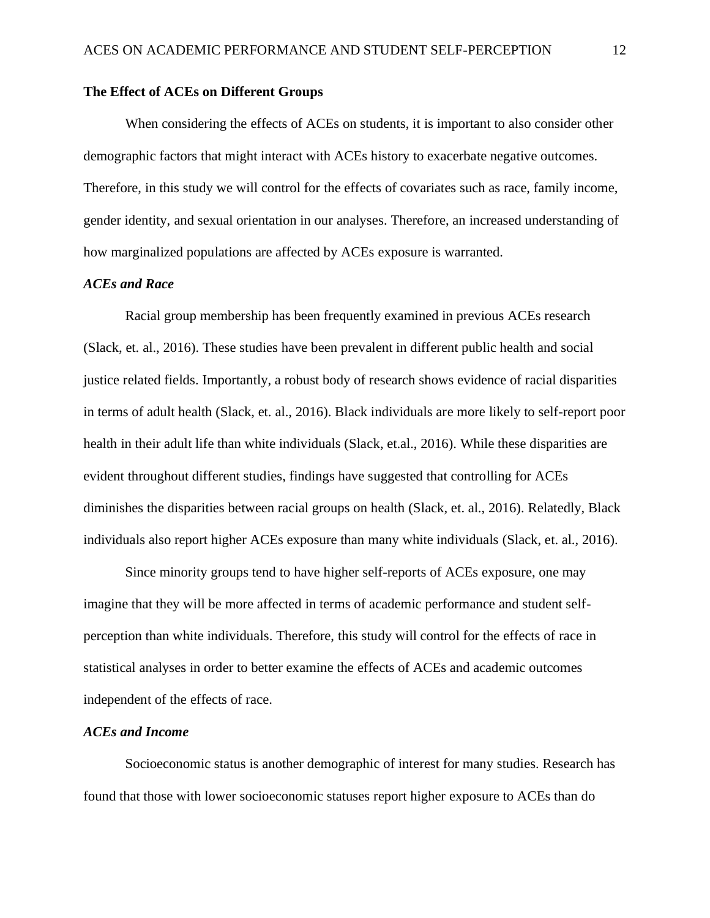#### **The Effect of ACEs on Different Groups**

When considering the effects of ACEs on students, it is important to also consider other demographic factors that might interact with ACEs history to exacerbate negative outcomes. Therefore, in this study we will control for the effects of covariates such as race, family income, gender identity, and sexual orientation in our analyses. Therefore, an increased understanding of how marginalized populations are affected by ACEs exposure is warranted.

#### *ACEs and Race*

Racial group membership has been frequently examined in previous ACEs research (Slack, et. al., 2016). These studies have been prevalent in different public health and social justice related fields. Importantly, a robust body of research shows evidence of racial disparities in terms of adult health (Slack, et. al., 2016). Black individuals are more likely to self-report poor health in their adult life than white individuals (Slack, et.al., 2016). While these disparities are evident throughout different studies, findings have suggested that controlling for ACEs diminishes the disparities between racial groups on health (Slack, et. al., 2016). Relatedly, Black individuals also report higher ACEs exposure than many white individuals (Slack, et. al., 2016).

Since minority groups tend to have higher self-reports of ACEs exposure, one may imagine that they will be more affected in terms of academic performance and student selfperception than white individuals. Therefore, this study will control for the effects of race in statistical analyses in order to better examine the effects of ACEs and academic outcomes independent of the effects of race.

#### *ACEs and Income*

Socioeconomic status is another demographic of interest for many studies. Research has found that those with lower socioeconomic statuses report higher exposure to ACEs than do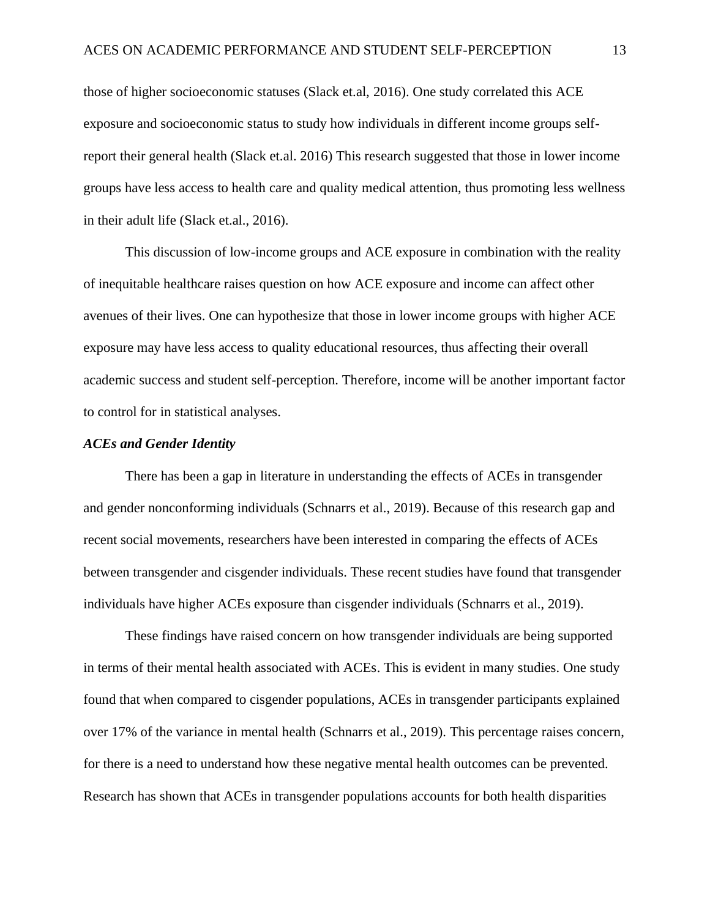those of higher socioeconomic statuses (Slack et.al, 2016). One study correlated this ACE exposure and socioeconomic status to study how individuals in different income groups selfreport their general health (Slack et.al. 2016) This research suggested that those in lower income groups have less access to health care and quality medical attention, thus promoting less wellness in their adult life (Slack et.al., 2016).

This discussion of low-income groups and ACE exposure in combination with the reality of inequitable healthcare raises question on how ACE exposure and income can affect other avenues of their lives. One can hypothesize that those in lower income groups with higher ACE exposure may have less access to quality educational resources, thus affecting their overall academic success and student self-perception. Therefore, income will be another important factor to control for in statistical analyses.

#### *ACEs and Gender Identity*

There has been a gap in literature in understanding the effects of ACEs in transgender and gender nonconforming individuals (Schnarrs et al., 2019). Because of this research gap and recent social movements, researchers have been interested in comparing the effects of ACEs between transgender and cisgender individuals. These recent studies have found that transgender individuals have higher ACEs exposure than cisgender individuals (Schnarrs et al., 2019).

These findings have raised concern on how transgender individuals are being supported in terms of their mental health associated with ACEs. This is evident in many studies. One study found that when compared to cisgender populations, ACEs in transgender participants explained over 17% of the variance in mental health (Schnarrs et al., 2019). This percentage raises concern, for there is a need to understand how these negative mental health outcomes can be prevented. Research has shown that ACEs in transgender populations accounts for both health disparities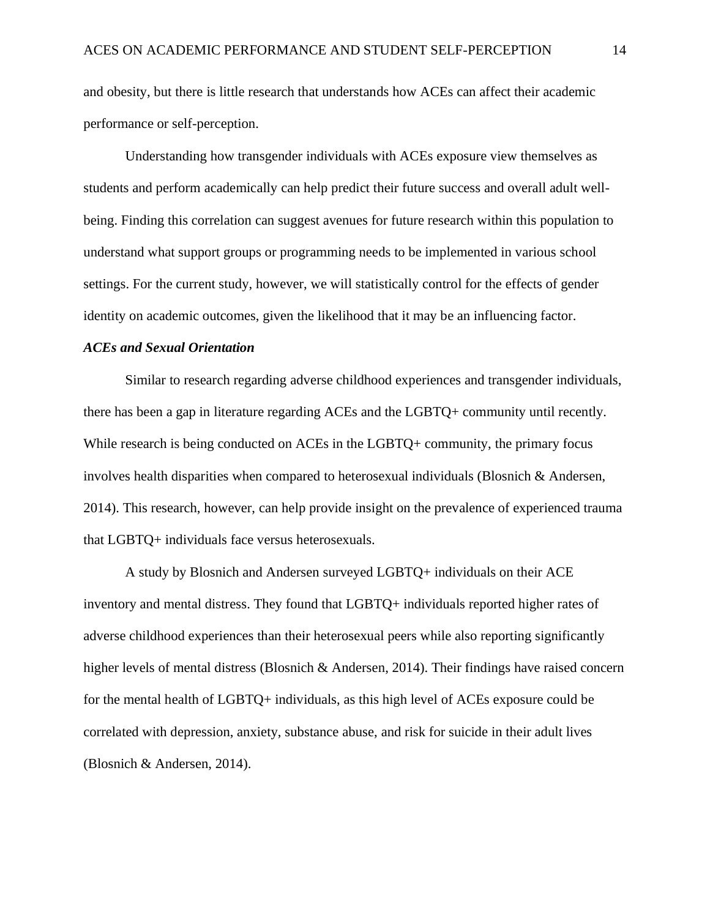and obesity, but there is little research that understands how ACEs can affect their academic performance or self-perception.

Understanding how transgender individuals with ACEs exposure view themselves as students and perform academically can help predict their future success and overall adult wellbeing. Finding this correlation can suggest avenues for future research within this population to understand what support groups or programming needs to be implemented in various school settings. For the current study, however, we will statistically control for the effects of gender identity on academic outcomes, given the likelihood that it may be an influencing factor.

#### *ACEs and Sexual Orientation*

Similar to research regarding adverse childhood experiences and transgender individuals, there has been a gap in literature regarding ACEs and the LGBTQ+ community until recently. While research is being conducted on ACEs in the LGBTQ+ community, the primary focus involves health disparities when compared to heterosexual individuals (Blosnich & Andersen, 2014). This research, however, can help provide insight on the prevalence of experienced trauma that LGBTQ+ individuals face versus heterosexuals.

A study by Blosnich and Andersen surveyed LGBTQ+ individuals on their ACE inventory and mental distress. They found that LGBTQ+ individuals reported higher rates of adverse childhood experiences than their heterosexual peers while also reporting significantly higher levels of mental distress (Blosnich & Andersen, 2014). Their findings have raised concern for the mental health of LGBTQ+ individuals, as this high level of ACEs exposure could be correlated with depression, anxiety, substance abuse, and risk for suicide in their adult lives (Blosnich & Andersen, 2014).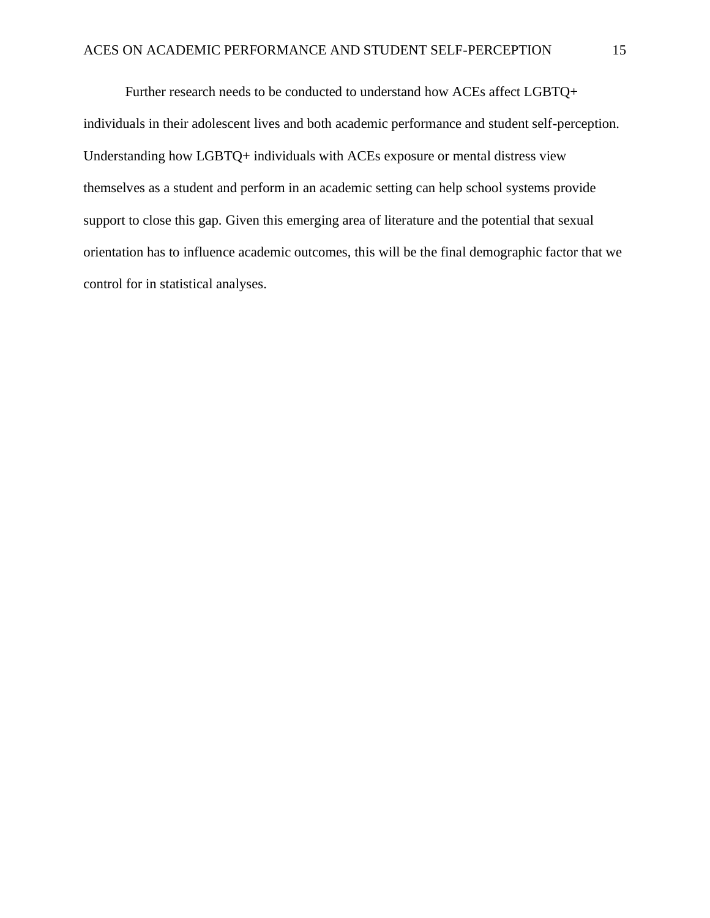Further research needs to be conducted to understand how ACEs affect LGBTQ+ individuals in their adolescent lives and both academic performance and student self-perception. Understanding how LGBTQ+ individuals with ACEs exposure or mental distress view themselves as a student and perform in an academic setting can help school systems provide support to close this gap. Given this emerging area of literature and the potential that sexual orientation has to influence academic outcomes, this will be the final demographic factor that we control for in statistical analyses.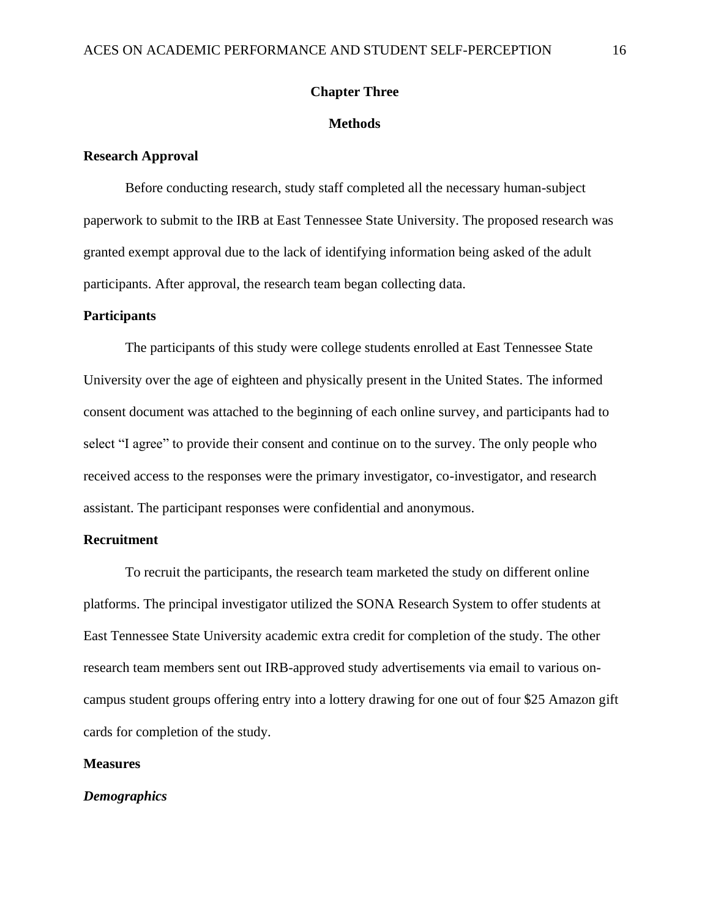#### **Chapter Three**

#### **Methods**

#### **Research Approval**

Before conducting research, study staff completed all the necessary human-subject paperwork to submit to the IRB at East Tennessee State University. The proposed research was granted exempt approval due to the lack of identifying information being asked of the adult participants. After approval, the research team began collecting data.

#### **Participants**

The participants of this study were college students enrolled at East Tennessee State University over the age of eighteen and physically present in the United States. The informed consent document was attached to the beginning of each online survey, and participants had to select "I agree" to provide their consent and continue on to the survey. The only people who received access to the responses were the primary investigator, co-investigator, and research assistant. The participant responses were confidential and anonymous.

#### **Recruitment**

To recruit the participants, the research team marketed the study on different online platforms. The principal investigator utilized the SONA Research System to offer students at East Tennessee State University academic extra credit for completion of the study. The other research team members sent out IRB-approved study advertisements via email to various oncampus student groups offering entry into a lottery drawing for one out of four \$25 Amazon gift cards for completion of the study.

#### **Measures**

#### *Demographics*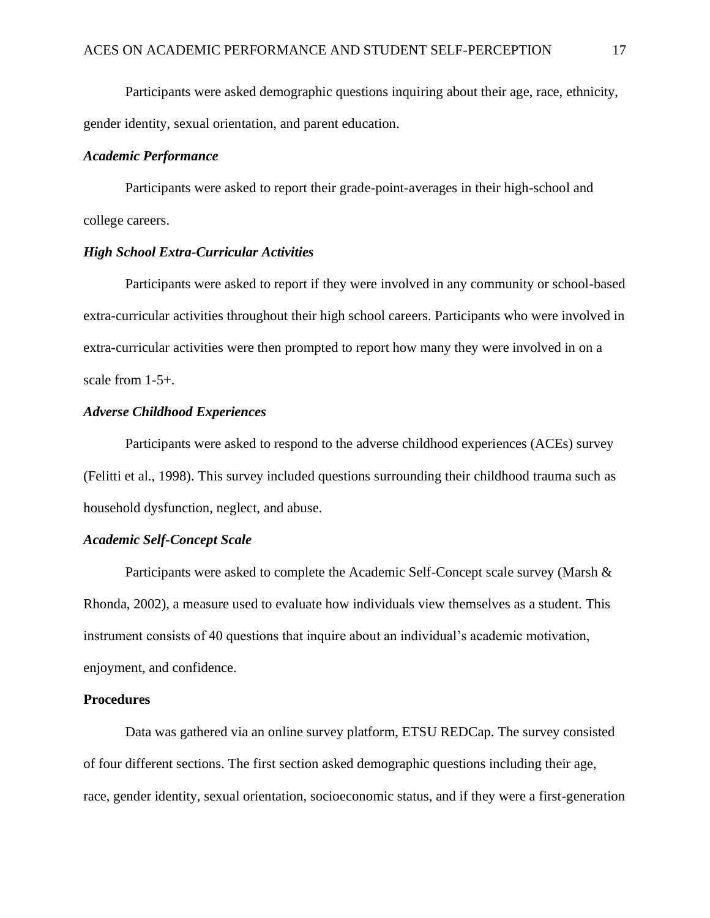Participants were asked demographic questions inquiring about their age, race, ethnicity, gender identity, sexual orientation, and parent education.

#### *Academic Performance*

Participants were asked to report their grade-point-averages in their high-school and college careers.

#### *High School Extra-Curricular Activities*

Participants were asked to report if they were involved in any community or school-based extra-curricular activities throughout their high school careers. Participants who were involved in extra-curricular activities were then prompted to report how many they were involved in on a scale from 1-5+.

#### *Adverse Childhood Experiences*

Participants were asked to respond to the adverse childhood experiences (ACEs) survey (Felitti et al., 1998). This survey included questions surrounding their childhood trauma such as household dysfunction, neglect, and abuse.

#### *Academic Self-Concept Scale*

Participants were asked to complete the Academic Self-Concept scale survey (Marsh & Rhonda, 2002), a measure used to evaluate how individuals view themselves as a student. This instrument consists of 40 questions that inquire about an individual's academic motivation, enjoyment, and confidence.

#### **Procedures**

Data was gathered via an online survey platform, ETSU REDCap. The survey consisted of four different sections. The first section asked demographic questions including their age, race, gender identity, sexual orientation, socioeconomic status, and if they were a first-generation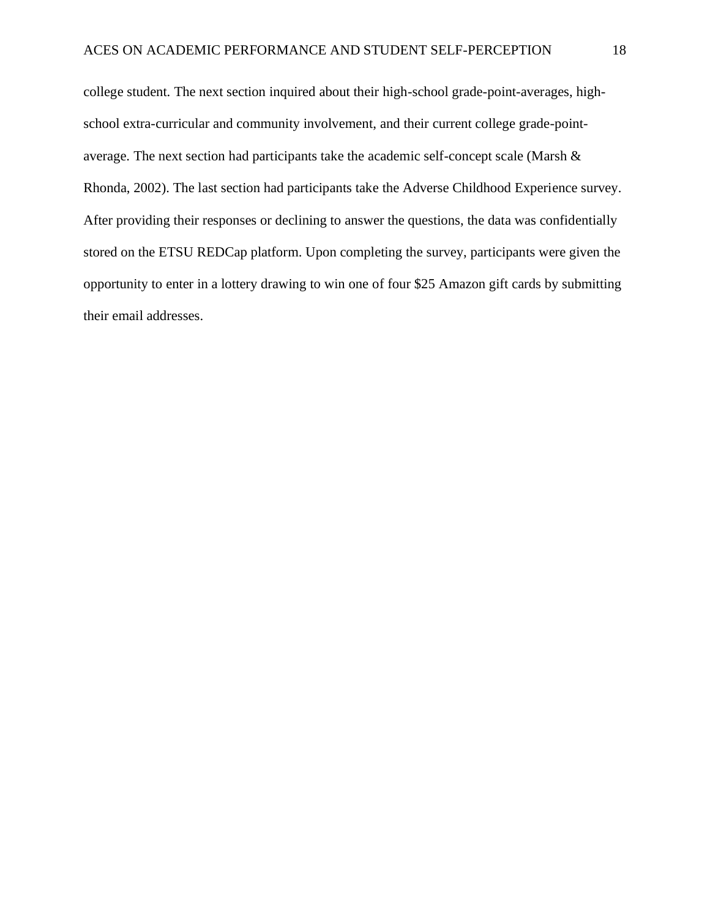college student. The next section inquired about their high-school grade-point-averages, highschool extra-curricular and community involvement, and their current college grade-pointaverage. The next section had participants take the academic self-concept scale (Marsh & Rhonda, 2002). The last section had participants take the Adverse Childhood Experience survey. After providing their responses or declining to answer the questions, the data was confidentially stored on the ETSU REDCap platform. Upon completing the survey, participants were given the opportunity to enter in a lottery drawing to win one of four \$25 Amazon gift cards by submitting their email addresses.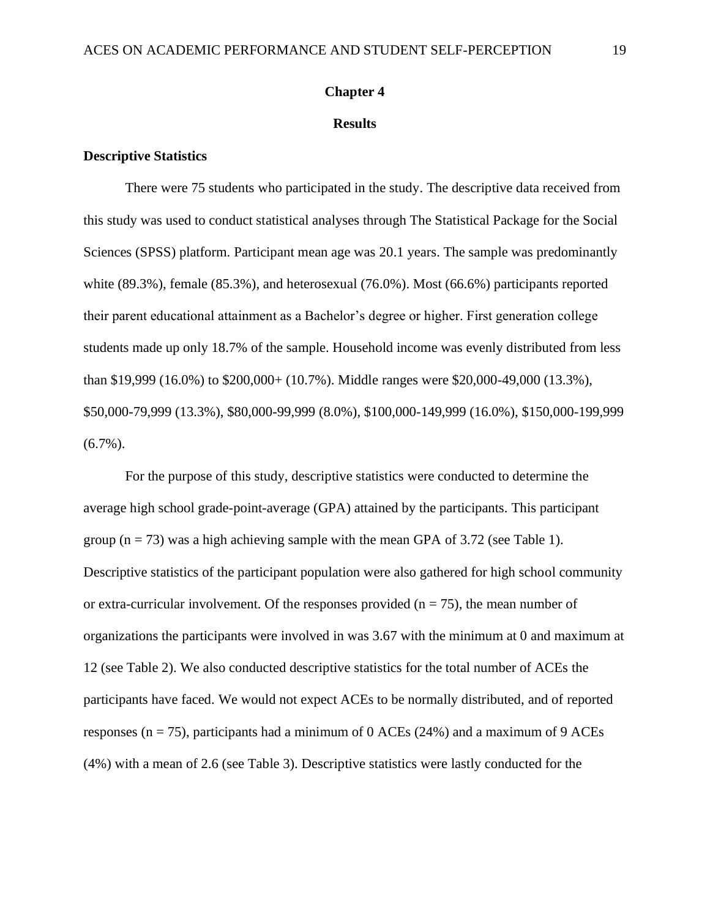#### **Chapter 4**

#### **Results**

#### **Descriptive Statistics**

There were 75 students who participated in the study. The descriptive data received from this study was used to conduct statistical analyses through The Statistical Package for the Social Sciences (SPSS) platform. Participant mean age was 20.1 years. The sample was predominantly white (89.3%), female (85.3%), and heterosexual (76.0%). Most (66.6%) participants reported their parent educational attainment as a Bachelor's degree or higher. First generation college students made up only 18.7% of the sample. Household income was evenly distributed from less than \$19,999 (16.0%) to \$200,000+ (10.7%). Middle ranges were \$20,000-49,000 (13.3%), \$50,000-79,999 (13.3%), \$80,000-99,999 (8.0%), \$100,000-149,999 (16.0%), \$150,000-199,999  $(6.7\%)$ .

For the purpose of this study, descriptive statistics were conducted to determine the average high school grade-point-average (GPA) attained by the participants. This participant group  $(n = 73)$  was a high achieving sample with the mean GPA of 3.72 (see Table 1). Descriptive statistics of the participant population were also gathered for high school community or extra-curricular involvement. Of the responses provided ( $n = 75$ ), the mean number of organizations the participants were involved in was 3.67 with the minimum at 0 and maximum at 12 (see Table 2). We also conducted descriptive statistics for the total number of ACEs the participants have faced. We would not expect ACEs to be normally distributed, and of reported responses ( $n = 75$ ), participants had a minimum of 0 ACEs (24%) and a maximum of 9 ACEs (4%) with a mean of 2.6 (see Table 3). Descriptive statistics were lastly conducted for the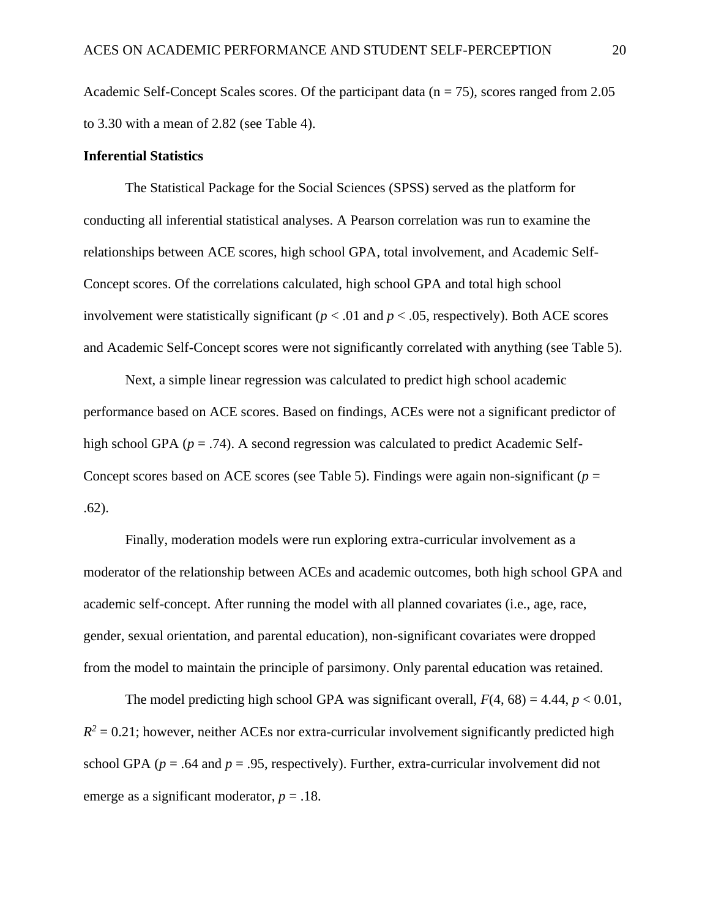Academic Self-Concept Scales scores. Of the participant data ( $n = 75$ ), scores ranged from 2.05 to 3.30 with a mean of 2.82 (see Table 4).

#### **Inferential Statistics**

The Statistical Package for the Social Sciences (SPSS) served as the platform for conducting all inferential statistical analyses. A Pearson correlation was run to examine the relationships between ACE scores, high school GPA, total involvement, and Academic Self-Concept scores. Of the correlations calculated, high school GPA and total high school involvement were statistically significant ( $p < .01$  and  $p < .05$ , respectively). Both ACE scores and Academic Self-Concept scores were not significantly correlated with anything (see Table 5).

Next, a simple linear regression was calculated to predict high school academic performance based on ACE scores. Based on findings, ACEs were not a significant predictor of high school GPA ( $p = .74$ ). A second regression was calculated to predict Academic Self-Concept scores based on ACE scores (see Table 5). Findings were again non-significant ( $p =$ .62).

Finally, moderation models were run exploring extra-curricular involvement as a moderator of the relationship between ACEs and academic outcomes, both high school GPA and academic self-concept. After running the model with all planned covariates (i.e., age, race, gender, sexual orientation, and parental education), non-significant covariates were dropped from the model to maintain the principle of parsimony. Only parental education was retained.

The model predicting high school GPA was significant overall,  $F(4, 68) = 4.44$ ,  $p < 0.01$ ,  $R^2 = 0.21$ ; however, neither ACEs nor extra-curricular involvement significantly predicted high school GPA ( $p = .64$  and  $p = .95$ , respectively). Further, extra-curricular involvement did not emerge as a significant moderator,  $p = .18$ .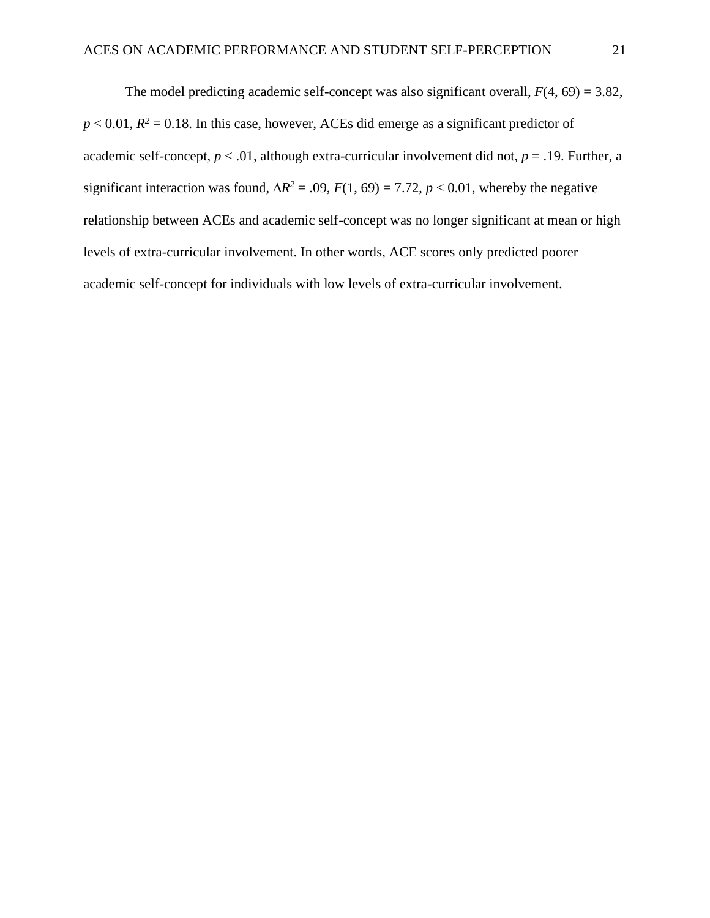The model predicting academic self-concept was also significant overall,  $F(4, 69) = 3.82$ ,  $p < 0.01$ ,  $R<sup>2</sup> = 0.18$ . In this case, however, ACEs did emerge as a significant predictor of academic self-concept,  $p < .01$ , although extra-curricular involvement did not,  $p = .19$ . Further, a significant interaction was found,  $\Delta R^2 = .09$ ,  $F(1, 69) = 7.72$ ,  $p < 0.01$ , whereby the negative relationship between ACEs and academic self-concept was no longer significant at mean or high levels of extra-curricular involvement. In other words, ACE scores only predicted poorer academic self-concept for individuals with low levels of extra-curricular involvement.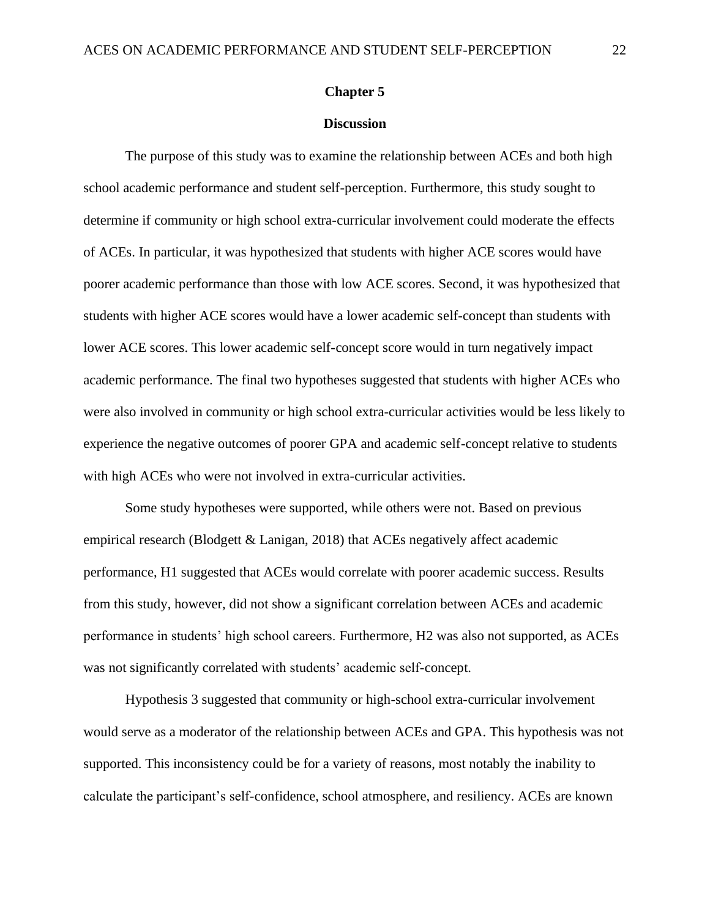#### **Chapter 5**

#### **Discussion**

The purpose of this study was to examine the relationship between ACEs and both high school academic performance and student self-perception. Furthermore, this study sought to determine if community or high school extra-curricular involvement could moderate the effects of ACEs. In particular, it was hypothesized that students with higher ACE scores would have poorer academic performance than those with low ACE scores. Second, it was hypothesized that students with higher ACE scores would have a lower academic self-concept than students with lower ACE scores. This lower academic self-concept score would in turn negatively impact academic performance. The final two hypotheses suggested that students with higher ACEs who were also involved in community or high school extra-curricular activities would be less likely to experience the negative outcomes of poorer GPA and academic self-concept relative to students with high ACEs who were not involved in extra-curricular activities.

Some study hypotheses were supported, while others were not. Based on previous empirical research (Blodgett & Lanigan, 2018) that ACEs negatively affect academic performance, H1 suggested that ACEs would correlate with poorer academic success. Results from this study, however, did not show a significant correlation between ACEs and academic performance in students' high school careers. Furthermore, H2 was also not supported, as ACEs was not significantly correlated with students' academic self-concept.

Hypothesis 3 suggested that community or high-school extra-curricular involvement would serve as a moderator of the relationship between ACEs and GPA. This hypothesis was not supported. This inconsistency could be for a variety of reasons, most notably the inability to calculate the participant's self-confidence, school atmosphere, and resiliency. ACEs are known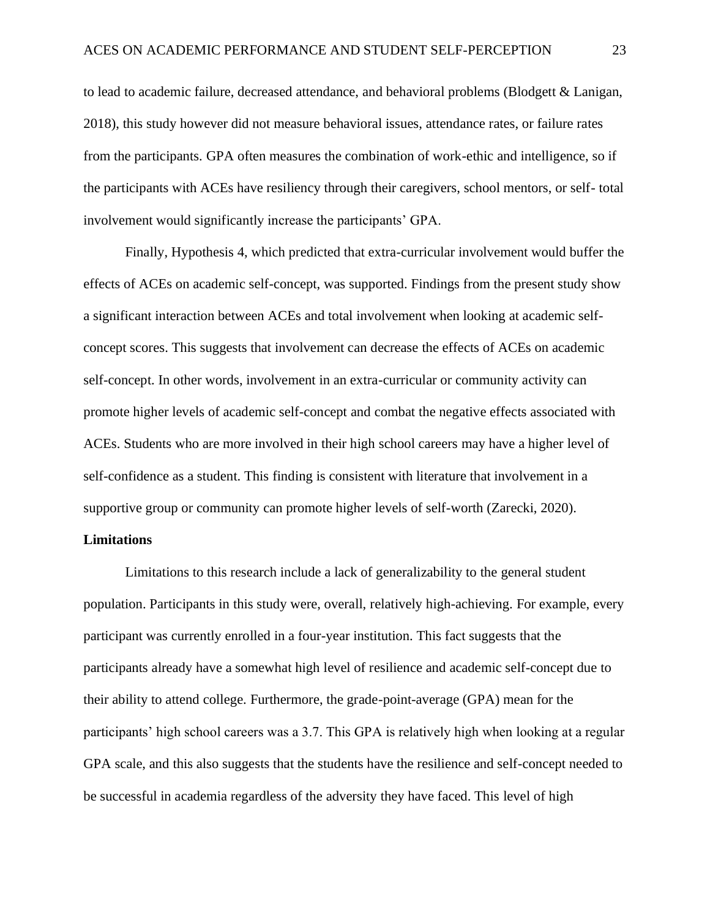to lead to academic failure, decreased attendance, and behavioral problems (Blodgett & Lanigan, 2018), this study however did not measure behavioral issues, attendance rates, or failure rates from the participants. GPA often measures the combination of work-ethic and intelligence, so if the participants with ACEs have resiliency through their caregivers, school mentors, or self- total involvement would significantly increase the participants' GPA.

Finally, Hypothesis 4, which predicted that extra-curricular involvement would buffer the effects of ACEs on academic self-concept, was supported. Findings from the present study show a significant interaction between ACEs and total involvement when looking at academic selfconcept scores. This suggests that involvement can decrease the effects of ACEs on academic self-concept. In other words, involvement in an extra-curricular or community activity can promote higher levels of academic self-concept and combat the negative effects associated with ACEs. Students who are more involved in their high school careers may have a higher level of self-confidence as a student. This finding is consistent with literature that involvement in a supportive group or community can promote higher levels of self-worth (Zarecki, 2020).

#### **Limitations**

Limitations to this research include a lack of generalizability to the general student population. Participants in this study were, overall, relatively high-achieving. For example, every participant was currently enrolled in a four-year institution. This fact suggests that the participants already have a somewhat high level of resilience and academic self-concept due to their ability to attend college. Furthermore, the grade-point-average (GPA) mean for the participants' high school careers was a 3.7. This GPA is relatively high when looking at a regular GPA scale, and this also suggests that the students have the resilience and self-concept needed to be successful in academia regardless of the adversity they have faced. This level of high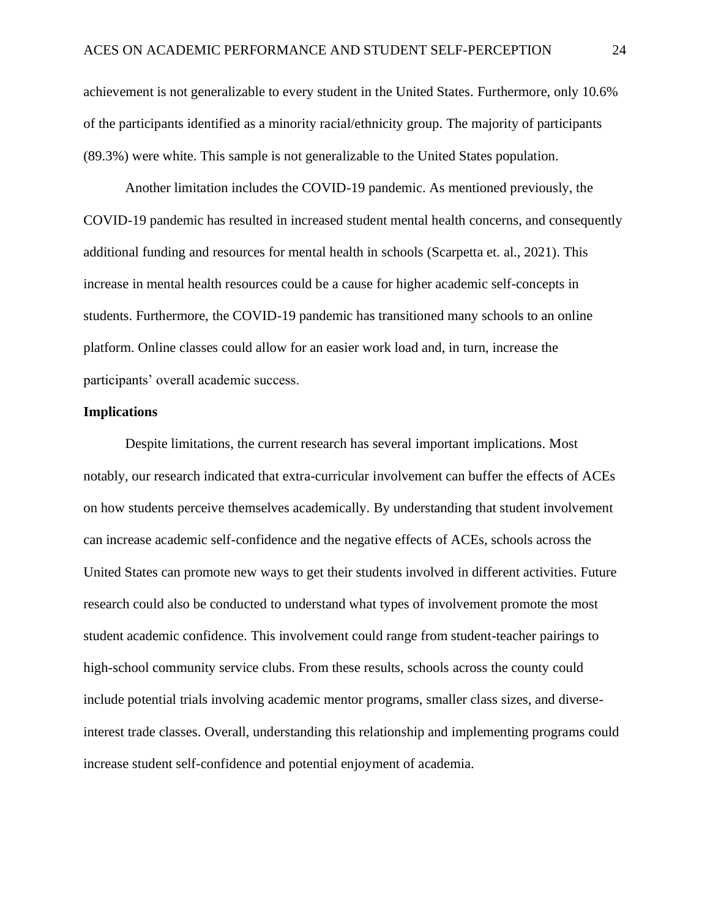achievement is not generalizable to every student in the United States. Furthermore, only 10.6% of the participants identified as a minority racial/ethnicity group. The majority of participants (89.3%) were white. This sample is not generalizable to the United States population.

Another limitation includes the COVID-19 pandemic. As mentioned previously, the COVID-19 pandemic has resulted in increased student mental health concerns, and consequently additional funding and resources for mental health in schools (Scarpetta et. al., 2021). This increase in mental health resources could be a cause for higher academic self-concepts in students. Furthermore, the COVID-19 pandemic has transitioned many schools to an online platform. Online classes could allow for an easier work load and, in turn, increase the participants' overall academic success.

#### **Implications**

Despite limitations, the current research has several important implications. Most notably, our research indicated that extra-curricular involvement can buffer the effects of ACEs on how students perceive themselves academically. By understanding that student involvement can increase academic self-confidence and the negative effects of ACEs, schools across the United States can promote new ways to get their students involved in different activities. Future research could also be conducted to understand what types of involvement promote the most student academic confidence. This involvement could range from student-teacher pairings to high-school community service clubs. From these results, schools across the county could include potential trials involving academic mentor programs, smaller class sizes, and diverseinterest trade classes. Overall, understanding this relationship and implementing programs could increase student self-confidence and potential enjoyment of academia.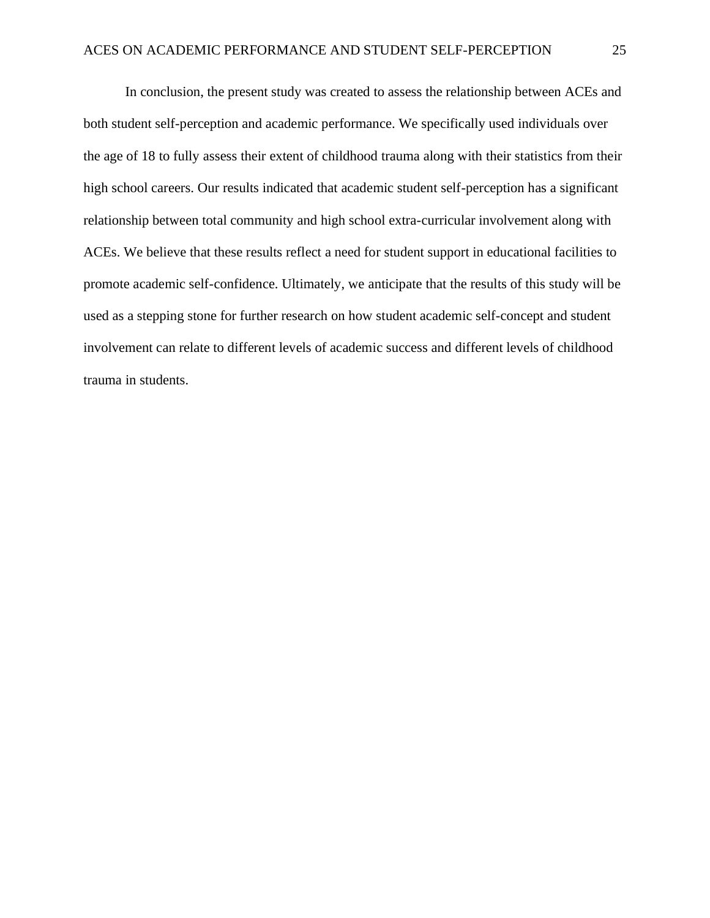In conclusion, the present study was created to assess the relationship between ACEs and both student self-perception and academic performance. We specifically used individuals over the age of 18 to fully assess their extent of childhood trauma along with their statistics from their high school careers. Our results indicated that academic student self-perception has a significant relationship between total community and high school extra-curricular involvement along with ACEs. We believe that these results reflect a need for student support in educational facilities to promote academic self-confidence. Ultimately, we anticipate that the results of this study will be used as a stepping stone for further research on how student academic self-concept and student involvement can relate to different levels of academic success and different levels of childhood trauma in students.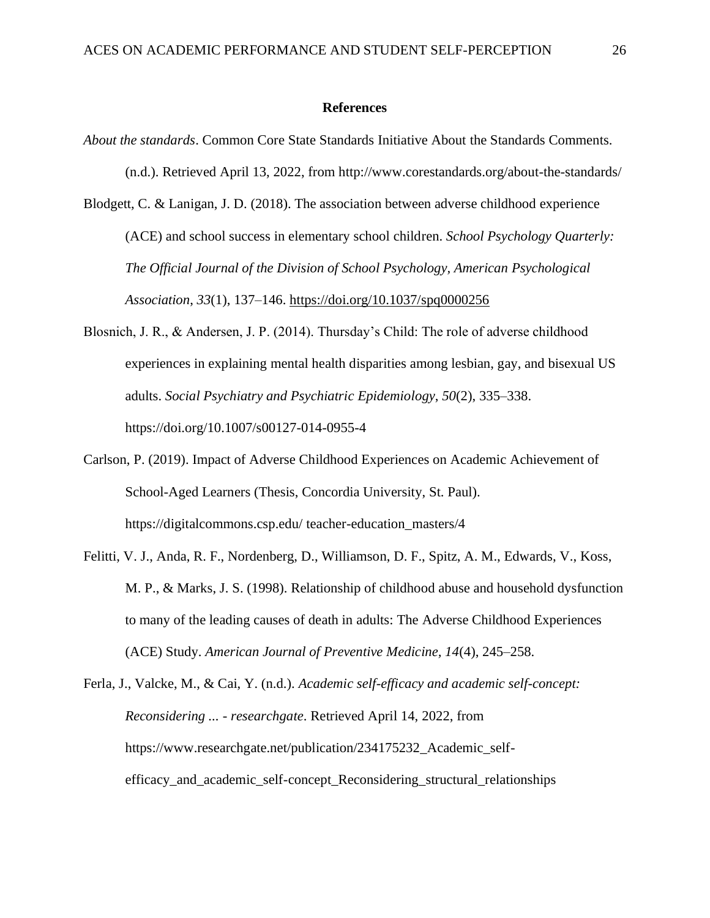#### **References**

- *About the standards*. Common Core State Standards Initiative About the Standards Comments. (n.d.). Retrieved April 13, 2022, from http://www.corestandards.org/about-the-standards/
- Blodgett, C. & Lanigan, J. D. (2018). The association between adverse childhood experience (ACE) and school success in elementary school children. *School Psychology Quarterly: The Official Journal of the Division of School Psychology, American Psychological Association*, *33*(1), 137–146.<https://doi.org/10.1037/spq0000256>
- Blosnich, J. R., & Andersen, J. P. (2014). Thursday's Child: The role of adverse childhood experiences in explaining mental health disparities among lesbian, gay, and bisexual US adults. *Social Psychiatry and Psychiatric Epidemiology*, *50*(2), 335–338. https://doi.org/10.1007/s00127-014-0955-4
- Carlson, P. (2019). Impact of Adverse Childhood Experiences on Academic Achievement of School-Aged Learners (Thesis, Concordia University, St. Paul). https://digitalcommons.csp.edu/ teacher-education\_masters/4
- Felitti, V. J., Anda, R. F., Nordenberg, D., Williamson, D. F., Spitz, A. M., Edwards, V., Koss, M. P., & Marks, J. S. (1998). Relationship of childhood abuse and household dysfunction to many of the leading causes of death in adults: The Adverse Childhood Experiences (ACE) Study. *American Journal of Preventive Medicine, 14*(4), 245–258.
- Ferla, J., Valcke, M., & Cai, Y. (n.d.). *Academic self-efficacy and academic self-concept: Reconsidering ... - researchgate*. Retrieved April 14, 2022, from https://www.researchgate.net/publication/234175232\_Academic\_selfefficacy\_and\_academic\_self-concept\_Reconsidering\_structural\_relationships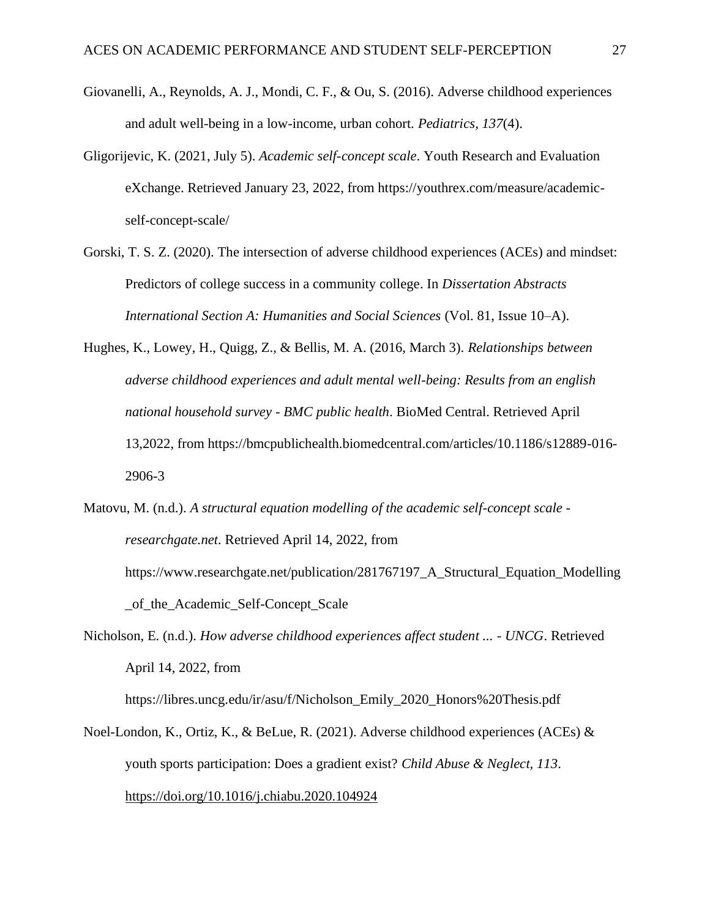- Giovanelli, A., Reynolds, A. J., Mondi, C. F., & Ou, S. (2016). Adverse childhood experiences and adult well-being in a low-income, urban cohort. *Pediatrics, 137*(4).
- Gligorijevic, K. (2021, July 5). *Academic self-concept scale*. Youth Research and Evaluation eXchange. Retrieved January 23, 2022, from https://youthrex.com/measure/academicself-concept-scale/
- Gorski, T. S. Z. (2020). The intersection of adverse childhood experiences (ACEs) and mindset: Predictors of college success in a community college. In *Dissertation Abstracts International Section A: Humanities and Social Sciences* (Vol. 81, Issue 10–A).
- Hughes, K., Lowey, H., Quigg, Z., & Bellis, M. A. (2016, March 3). *Relationships between adverse childhood experiences and adult mental well-being: Results from an english national household survey - BMC public health*. BioMed Central. Retrieved April 13,2022, from https://bmcpublichealth.biomedcentral.com/articles/10.1186/s12889-016- 2906-3
- Matovu, M. (n.d.). *A structural equation modelling of the academic self-concept scale researchgate.net*. Retrieved April 14, 2022, from https://www.researchgate.net/publication/281767197\_A\_Structural\_Equation\_Modelling \_of\_the\_Academic\_Self-Concept\_Scale
- Nicholson, E. (n.d.). *How adverse childhood experiences affect student ... - UNCG*. Retrieved April 14, 2022, from

https://libres.uncg.edu/ir/asu/f/Nicholson\_Emily\_2020\_Honors%20Thesis.pdf

Noel-London, K., Ortiz, K., & BeLue, R. (2021). Adverse childhood experiences (ACEs)  $\&$ youth sports participation: Does a gradient exist? *Child Abuse & Neglect, 113*. <https://doi.org/10.1016/j.chiabu.2020.104924>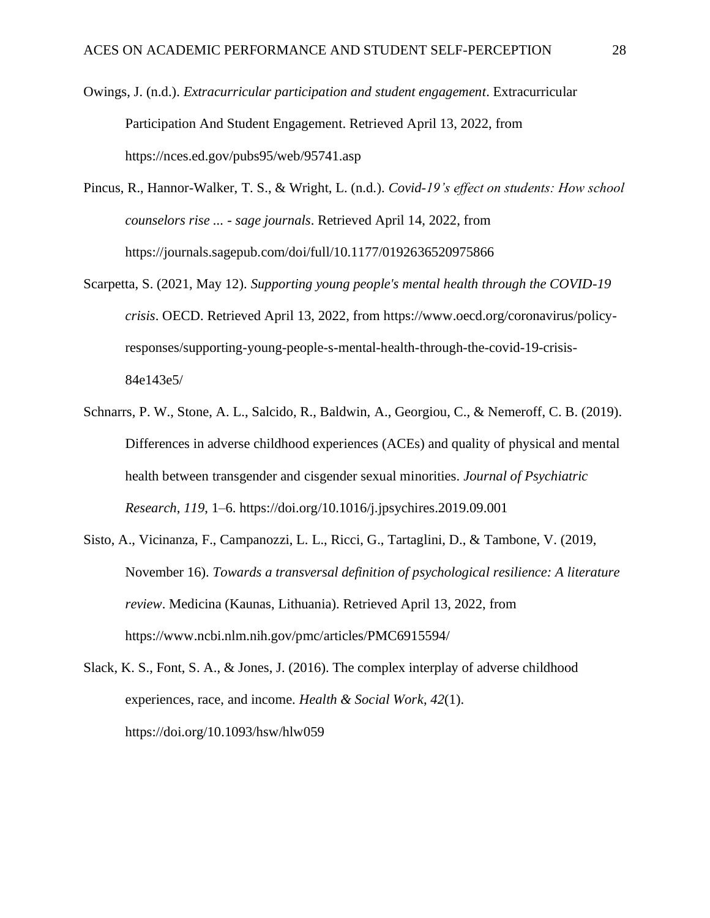- Owings, J. (n.d.). *Extracurricular participation and student engagement*. Extracurricular Participation And Student Engagement. Retrieved April 13, 2022, from https://nces.ed.gov/pubs95/web/95741.asp
- Pincus, R., Hannor-Walker, T. S., & Wright, L. (n.d.). *Covid-19's effect on students: How school counselors rise ... - sage journals*. Retrieved April 14, 2022, from https://journals.sagepub.com/doi/full/10.1177/0192636520975866
- Scarpetta, S. (2021, May 12). *Supporting young people's mental health through the COVID-19 crisis*. OECD. Retrieved April 13, 2022, from https://www.oecd.org/coronavirus/policyresponses/supporting-young-people-s-mental-health-through-the-covid-19-crisis-84e143e5/
- Schnarrs, P. W., Stone, A. L., Salcido, R., Baldwin, A., Georgiou, C., & Nemeroff, C. B. (2019). Differences in adverse childhood experiences (ACEs) and quality of physical and mental health between transgender and cisgender sexual minorities. *Journal of Psychiatric Research*, *119*, 1–6. https://doi.org/10.1016/j.jpsychires.2019.09.001
- [Sisto, A., Vicinanza, F., Campanozzi, L. L., Ricci, G., Tartaglini, D., & Tambone, V. \(2019,](https://www.ncbi.nlm.nih.gov/pmc/articles/PMC6915594/)  November 16). *[Towards a transversal definition of psychological resilience: A literature](https://www.ncbi.nlm.nih.gov/pmc/articles/PMC6915594/)  review*[. Medicina \(Kaunas, Lithuania\). Retrieved April](https://www.ncbi.nlm.nih.gov/pmc/articles/PMC6915594/) 13, 2022, from <https://www.ncbi.nlm.nih.gov/pmc/articles/PMC6915594/>

Slack, K. S., Font, S. A., & Jones, J. (2016). The complex interplay of adverse childhood experiences, race, and income. *Health & Social Work*, *42*(1). https://doi.org/10.1093/hsw/hlw059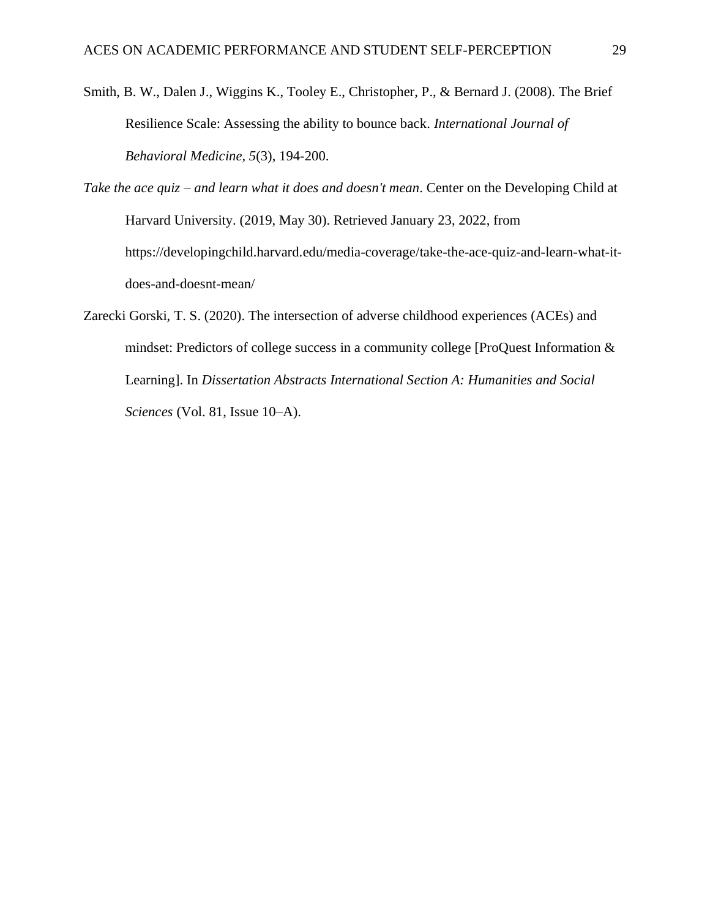- Smith, B. W., Dalen J., Wiggins K., Tooley E., Christopher, P., & Bernard J. (2008). The Brief Resilience Scale: Assessing the ability to bounce back. *International Journal of Behavioral Medicine, 5*(3), 194-200.
- *Take the ace quiz – and learn what it does and doesn't mean*. Center on the Developing Child at Harvard University. (2019, May 30). Retrieved January 23, 2022, from https://developingchild.harvard.edu/media-coverage/take-the-ace-quiz-and-learn-what-itdoes-and-doesnt-mean/
- Zarecki Gorski, T. S. (2020). The intersection of adverse childhood experiences (ACEs) and mindset: Predictors of college success in a community college [ProQuest Information & Learning]. In *Dissertation Abstracts International Section A: Humanities and Social Sciences* (Vol. 81, Issue 10–A).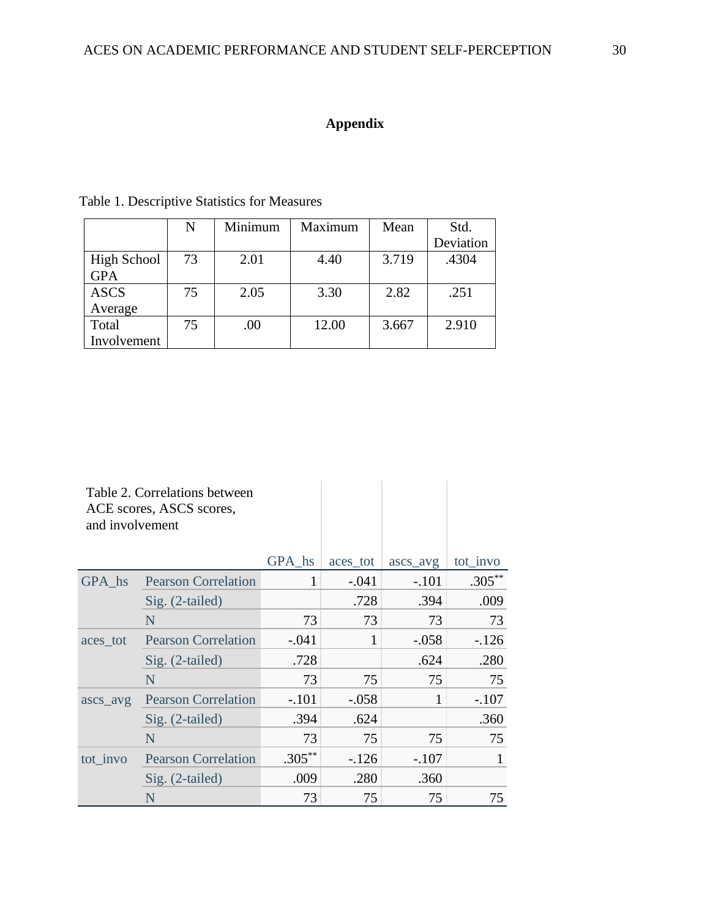## **Appendix**

 $\mathbb{R}^n$ 

|                    | N  | Minimum | Maximum | Mean  | Std.      |
|--------------------|----|---------|---------|-------|-----------|
|                    |    |         |         |       | Deviation |
| <b>High School</b> | 73 | 2.01    | 4.40    | 3.719 | .4304     |
| <b>GPA</b>         |    |         |         |       |           |
| <b>ASCS</b>        | 75 | 2.05    | 3.30    | 2.82  | .251      |
| Average            |    |         |         |       |           |
| Total              | 75 | .00     | 12.00   | 3.667 | 2.910     |
| Involvement        |    |         |         |       |           |

### Table 1. Descriptive Statistics for Measures

Table 2. Correlations between ACE scores, ASCS scores, and involvement

|          |                            | GPA_hs    | aces_tot | ascs_avg | tot_invo  |
|----------|----------------------------|-----------|----------|----------|-----------|
| GPA hs   | <b>Pearson Correlation</b> | 1         | $-.041$  | $-.101$  | $.305***$ |
|          | Sig. (2-tailed)            |           | .728     | .394     | .009      |
|          | N                          | 73        | 73       | 73       | 73        |
| aces_tot | <b>Pearson Correlation</b> | $-.041$   |          | $-.058$  | $-126$    |
|          | Sig. (2-tailed)            | .728      |          | .624     | .280      |
|          | N                          | 73        | 75       | 75       | 75        |
| ascs_avg | <b>Pearson Correlation</b> | $-.101$   | $-.058$  | 1        | $-.107$   |
|          | Sig. (2-tailed)            | .394      | .624     |          | .360      |
|          | N                          | 73        | 75       | 75       | 75        |
| tot_invo | <b>Pearson Correlation</b> | $.305***$ | $-126$   | $-.107$  |           |
|          | Sig. (2-tailed)            | .009      | .280     | .360     |           |
|          | N                          | 73        | 75       | 75       | 75        |